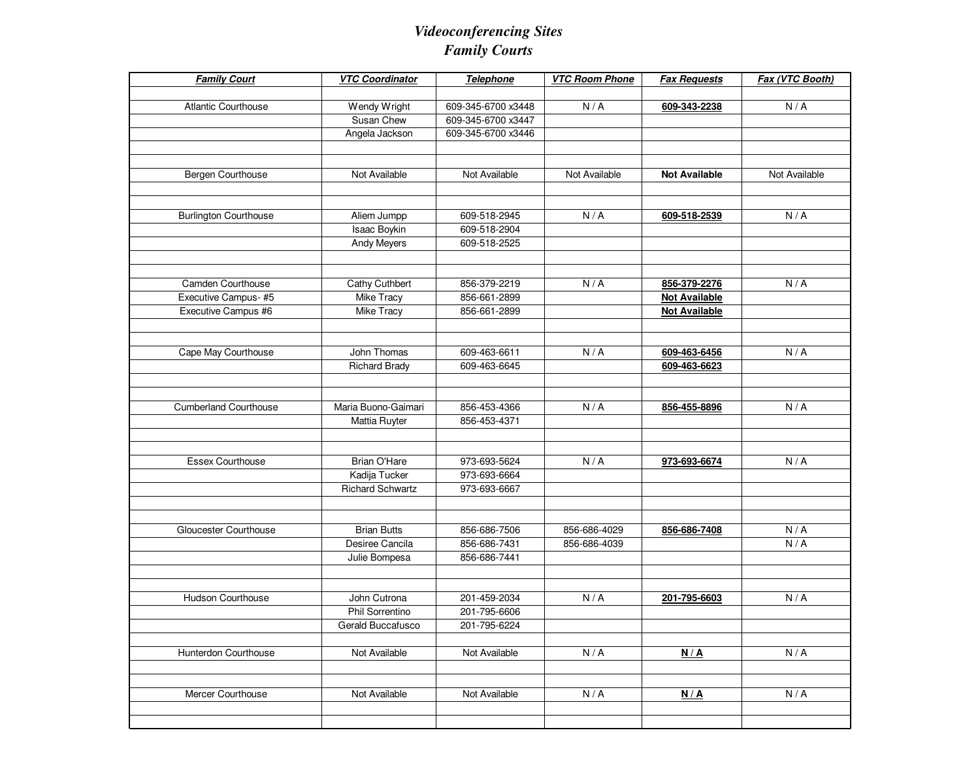## *Videoconferencing SitesFamily Courts*

| <b>Family Court</b>          | <b>VTC Coordinator</b> | Telephone          | <b>VTC Room Phone</b> | <b>Fax Requests</b>  | Fax (VTC Booth) |
|------------------------------|------------------------|--------------------|-----------------------|----------------------|-----------------|
|                              |                        |                    |                       |                      |                 |
| <b>Atlantic Courthouse</b>   | Wendy Wright           | 609-345-6700 x3448 | N/A                   | 609-343-2238         | N/A             |
|                              | Susan Chew             | 609-345-6700 x3447 |                       |                      |                 |
|                              | Angela Jackson         | 609-345-6700 x3446 |                       |                      |                 |
|                              |                        |                    |                       |                      |                 |
|                              |                        |                    |                       |                      |                 |
| Bergen Courthouse            | Not Available          | Not Available      | Not Available         | <b>Not Available</b> | Not Available   |
|                              |                        |                    |                       |                      |                 |
| <b>Burlington Courthouse</b> | Aliem Jumpp            | 609-518-2945       | N/A                   | 609-518-2539         | N/A             |
|                              | Isaac Boykin           | 609-518-2904       |                       |                      |                 |
|                              | <b>Andy Meyers</b>     | 609-518-2525       |                       |                      |                 |
|                              |                        |                    |                       |                      |                 |
|                              |                        |                    |                       |                      |                 |
| Camden Courthouse            | Cathy Cuthbert         | 856-379-2219       | N/A                   | 856-379-2276         | N/A             |
| Executive Campus-#5          | Mike Tracy             | 856-661-2899       |                       | <b>Not Available</b> |                 |
| Executive Campus #6          | Mike Tracy             | 856-661-2899       |                       | <b>Not Available</b> |                 |
|                              |                        |                    |                       |                      |                 |
|                              | John Thomas            | 609-463-6611       | N/A                   | 609-463-6456         | N/A             |
| Cape May Courthouse          |                        | 609-463-6645       |                       |                      |                 |
|                              | <b>Richard Brady</b>   |                    |                       | 609-463-6623         |                 |
|                              |                        |                    |                       |                      |                 |
| <b>Cumberland Courthouse</b> | Maria Buono-Gaimari    | 856-453-4366       | N/A                   | 856-455-8896         | N/A             |
|                              | Mattia Ruyter          | 856-453-4371       |                       |                      |                 |
|                              |                        |                    |                       |                      |                 |
|                              |                        |                    |                       |                      |                 |
| Essex Courthouse             | Brian O'Hare           | 973-693-5624       | N/A                   | 973-693-6674         | N/A             |
|                              | Kadija Tucker          | 973-693-6664       |                       |                      |                 |
|                              | Richard Schwartz       | 973-693-6667       |                       |                      |                 |
|                              |                        |                    |                       |                      |                 |
| Gloucester Courthouse        | <b>Brian Butts</b>     | 856-686-7506       | 856-686-4029          | 856-686-7408         | N/A             |
|                              | Desiree Cancila        | 856-686-7431       | 856-686-4039          |                      | N/A             |
|                              | Julie Bompesa          | 856-686-7441       |                       |                      |                 |
|                              |                        |                    |                       |                      |                 |
|                              |                        |                    |                       |                      |                 |
| <b>Hudson Courthouse</b>     | John Cutrona           | 201-459-2034       | N/A                   | 201-795-6603         | N/A             |
|                              | Phil Sorrentino        | 201-795-6606       |                       |                      |                 |
|                              | Gerald Buccafusco      | 201-795-6224       |                       |                      |                 |
|                              |                        |                    |                       |                      |                 |
| Hunterdon Courthouse         | Not Available          | Not Available      | N/A                   | N/A                  | N/A             |
|                              |                        |                    |                       |                      |                 |
| Mercer Courthouse            | Not Available          | Not Available      | N/A                   | N/A                  | N/A             |
|                              |                        |                    |                       |                      |                 |
|                              |                        |                    |                       |                      |                 |
|                              |                        |                    |                       |                      |                 |